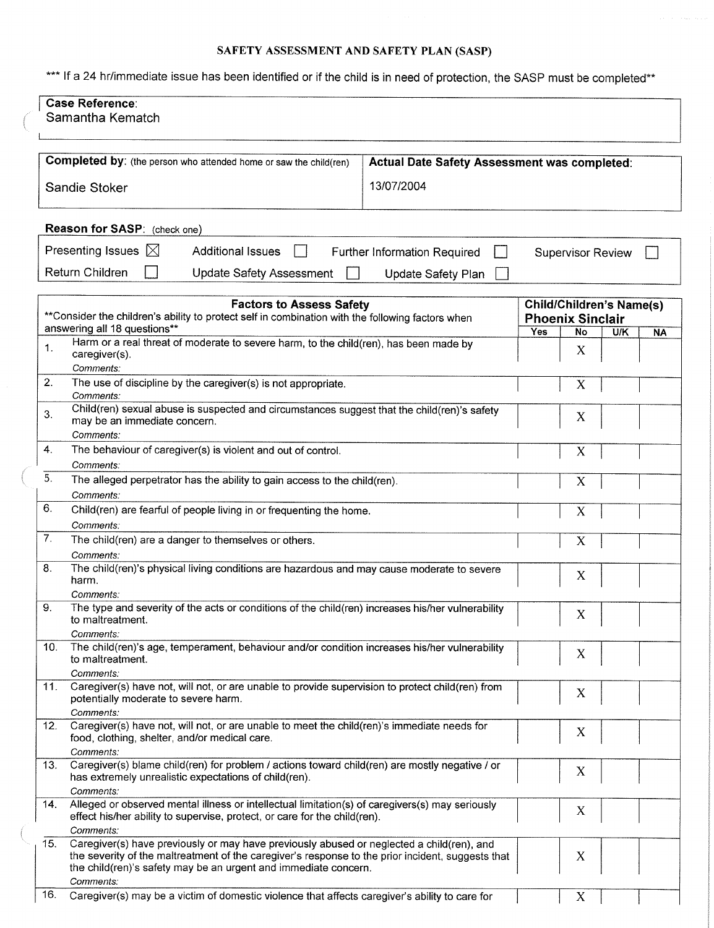## SAFETY ASSESSMENT AND SAFETY PLAN (SASP)

\*\*\* If a 24 hr/immediate issue has been identified or if the child is in need of protection, the SASP must be completed\*\*

| <b>Case Reference:</b><br>Samantha Kematch |                                                                                                                                                                                                                                                                   |                                              |                                                            |                  |  |
|--------------------------------------------|-------------------------------------------------------------------------------------------------------------------------------------------------------------------------------------------------------------------------------------------------------------------|----------------------------------------------|------------------------------------------------------------|------------------|--|
|                                            | Completed by: (the person who attended home or saw the child(ren)                                                                                                                                                                                                 | Actual Date Safety Assessment was completed: |                                                            |                  |  |
| Sandie Stoker                              |                                                                                                                                                                                                                                                                   | 13/07/2004                                   |                                                            |                  |  |
|                                            |                                                                                                                                                                                                                                                                   |                                              |                                                            |                  |  |
|                                            | Reason for SASP: (check one)                                                                                                                                                                                                                                      |                                              |                                                            |                  |  |
|                                            | Presenting Issues $\boxtimes$<br><b>Additional Issues</b>                                                                                                                                                                                                         | <b>Further Information Required</b>          | <b>Supervisor Review</b>                                   |                  |  |
|                                            | Return Children<br><b>Update Safety Assessment</b>                                                                                                                                                                                                                | Update Safety Plan                           |                                                            |                  |  |
|                                            | <b>Factors to Assess Safety</b><br>** Consider the children's ability to protect self in combination with the following factors when                                                                                                                              |                                              | <b>Child/Children's Name(s)</b><br><b>Phoenix Sinclair</b> |                  |  |
|                                            | answering all 18 questions**                                                                                                                                                                                                                                      |                                              | Yes<br>No                                                  | U/K<br><b>NA</b> |  |
| 1.                                         | Harm or a real threat of moderate to severe harm, to the child(ren), has been made by<br>caregiver(s).                                                                                                                                                            |                                              | X                                                          |                  |  |
| 2.                                         | Comments:<br>The use of discipline by the caregiver(s) is not appropriate.                                                                                                                                                                                        |                                              |                                                            |                  |  |
| 3.                                         | Comments:<br>Child(ren) sexual abuse is suspected and circumstances suggest that the child(ren)'s safety<br>may be an immediate concern.                                                                                                                          |                                              | X                                                          |                  |  |
|                                            | Comments:                                                                                                                                                                                                                                                         |                                              |                                                            |                  |  |
| 4.                                         | The behaviour of caregiver(s) is violent and out of control.                                                                                                                                                                                                      |                                              | X                                                          |                  |  |
|                                            | Comments:                                                                                                                                                                                                                                                         |                                              |                                                            |                  |  |
| 5.                                         | The alleged perpetrator has the ability to gain access to the child(ren).                                                                                                                                                                                         |                                              | X                                                          |                  |  |
| 6.                                         | Comments:<br>Child(ren) are fearful of people living in or frequenting the home.                                                                                                                                                                                  |                                              |                                                            |                  |  |
|                                            | Comments:                                                                                                                                                                                                                                                         |                                              | X                                                          |                  |  |
| 7.                                         | The child(ren) are a danger to themselves or others.                                                                                                                                                                                                              |                                              | X                                                          |                  |  |
| 8.                                         | Comments:                                                                                                                                                                                                                                                         |                                              |                                                            |                  |  |
|                                            | The child(ren)'s physical living conditions are hazardous and may cause moderate to severe<br>harm.                                                                                                                                                               |                                              | X                                                          |                  |  |
| 9.                                         | Comments:<br>The type and severity of the acts or conditions of the child(ren) increases his/her vulnerability                                                                                                                                                    |                                              |                                                            |                  |  |
|                                            | to maltreatment.                                                                                                                                                                                                                                                  |                                              | X                                                          |                  |  |
| 10.                                        | Comments:<br>The child(ren)'s age, temperament, behaviour and/or condition increases his/her vulnerability                                                                                                                                                        |                                              |                                                            |                  |  |
|                                            | to maltreatment.                                                                                                                                                                                                                                                  |                                              | X                                                          |                  |  |
| 11.                                        | Comments:<br>Caregiver(s) have not, will not, or are unable to provide supervision to protect child(ren) from                                                                                                                                                     |                                              |                                                            |                  |  |
|                                            | potentially moderate to severe harm.<br>Comments:                                                                                                                                                                                                                 |                                              | X                                                          |                  |  |
| 12.                                        | Caregiver(s) have not, will not, or are unable to meet the child(ren)'s immediate needs for                                                                                                                                                                       |                                              | X                                                          |                  |  |
|                                            | food, clothing, shelter, and/or medical care.<br>Comments:                                                                                                                                                                                                        |                                              |                                                            |                  |  |
| 13.                                        | Caregiver(s) blame child(ren) for problem / actions toward child(ren) are mostly negative / or                                                                                                                                                                    |                                              | X                                                          |                  |  |
|                                            | has extremely unrealistic expectations of child(ren).<br>Comments:                                                                                                                                                                                                |                                              |                                                            |                  |  |
| 14.                                        | Alleged or observed mental illness or intellectual limitation(s) of caregivers(s) may seriously<br>effect his/her ability to supervise, protect, or care for the child(ren).                                                                                      |                                              | X                                                          |                  |  |
|                                            | Comments:                                                                                                                                                                                                                                                         |                                              |                                                            |                  |  |
| 15.                                        | Caregiver(s) have previously or may have previously abused or neglected a child(ren), and<br>the severity of the maltreatment of the caregiver's response to the prior incident, suggests that<br>the child(ren)'s safety may be an urgent and immediate concern. |                                              | X                                                          |                  |  |
| 16.                                        | Comments:<br>Caregiver(s) may be a victim of domestic violence that affects caregiver's ability to care for                                                                                                                                                       |                                              |                                                            |                  |  |
|                                            |                                                                                                                                                                                                                                                                   |                                              | X                                                          |                  |  |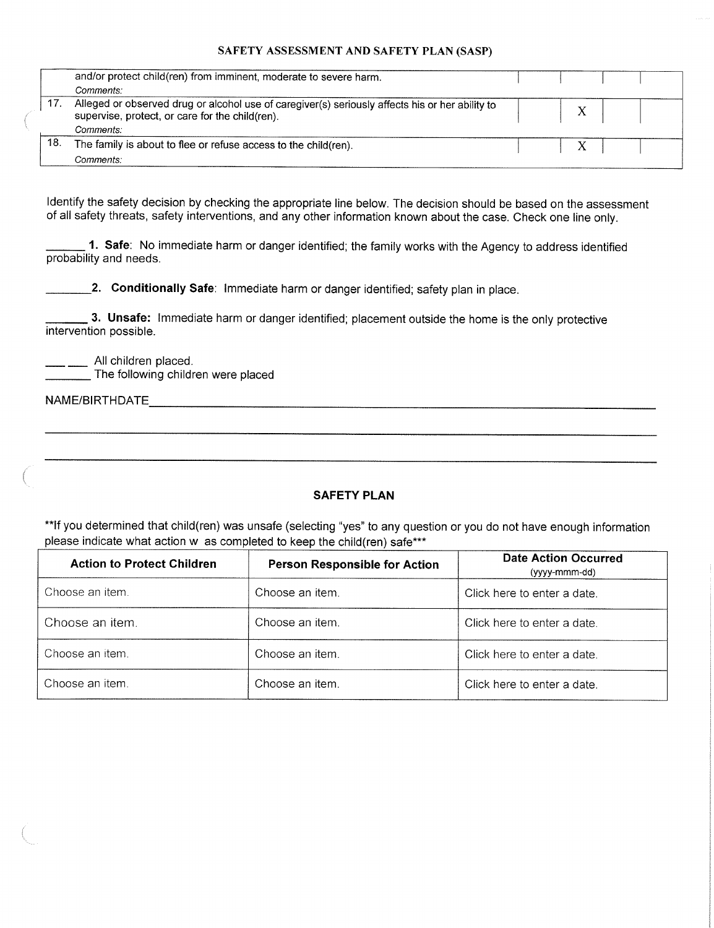### SAFETY ASSESSMENT AND SAFETY PLAN (SASP)

|     | and/or protect child(ren) from imminent, moderate to severe harm.                                                                                  |  |  |
|-----|----------------------------------------------------------------------------------------------------------------------------------------------------|--|--|
|     | Comments:                                                                                                                                          |  |  |
|     | Alleged or observed drug or alcohol use of caregiver(s) seriously affects his or her ability to<br>supervise, protect, or care for the child(ren). |  |  |
|     | Comments:                                                                                                                                          |  |  |
| 18. | The family is about to flee or refuse access to the child(ren).                                                                                    |  |  |
|     | <i>Comments:</i>                                                                                                                                   |  |  |

Identify the safety decision by checking the appropriate line below. The decision should be based on the assessment of all safety threats, safety interventions, and any other information known about the case. Check one line only.

**1. Safe**: No immediate harm or danger identified; the family works with the Agency to address identified probability and needs.

2. Conditionally Safe: Immediate harm or danger identified; safety plan in place.

3. Unsafe: Immediate harm or danger identified; placement outside the home is the only protective  $3.5$  Unsafe: Immediate harm or danger in the only protective the only protective the only protective the only protective the only protective the only protective the only protective the only protective the only protective

All children placed.

 $\overline{\phantom{a}}$  The following children were placed

NAME/BIRTHDATE

### **SAFETY PLAN**

\*\*If you determined that child(ren) was unsafe (selecting "yes" to any question or you do not have enough information please indicate what action w as completed to keep the child(ren) safe\*\*\*

| <b>Action to Protect Children</b> | <b>Person Responsible for Action</b> | <b>Date Action Occurred</b><br>(yyyy-mmm-dd) |
|-----------------------------------|--------------------------------------|----------------------------------------------|
| Choose an item.                   | Choose an item.                      | Click here to enter a date.                  |
| Choose an item.                   | Choose an item.                      | Click here to enter a date.                  |
| Choose an item.                   | Choose an item.                      | Click here to enter a date.                  |
| Choose an item.                   | Choose an item.                      | Click here to enter a date.                  |